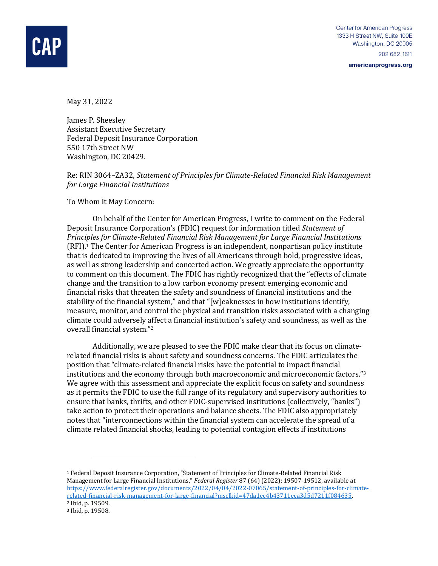

americanprogress.org

May 31, 2022

James P. Sheesley Assistant Executive Secretary Federal Deposit Insurance Corporation 550 17th Street NW Washington, DC 20429.

Re: RIN 3064–ZA32, *Statement of Principles for Climate-Related Financial Risk Management for Large Financial Institutions*

To Whom It May Concern:

On behalf of the Center for American Progress, I write to comment on the Federal Deposit Insurance Corporation's (FDIC) request for information titled *Statement of Principles for Climate-Related Financial Risk Management for Large Financial Institutions*  (RFI).<sup>1</sup> The Center for American Progress is an independent, nonpartisan policy institute that is dedicated to improving the lives of all Americans through bold, progressive ideas, as well as strong leadership and concerted action. We greatly appreciate the opportunity to comment on this document. The FDIC has rightly recognized that the "effects of climate change and the transition to a low carbon economy present emerging economic and financial risks that threaten the safety and soundness of financial institutions and the stability of the financial system," and that "[w]eaknesses in how institutions identify, measure, monitor, and control the physical and transition risks associated with a changing climate could adversely affect a financial institution's safety and soundness, as well as the overall financial system." 2

Additionally, we are pleased to see the FDIC make clear that its focus on climaterelated financial risks is about safety and soundness concerns. The FDIC articulates the position that "climate-related financial risks have the potential to impact financial institutions and the economy through both macroeconomic and microeconomic factors." 3 We agree with this assessment and appreciate the explicit focus on safety and soundness as it permits the FDIC to use the full range of its regulatory and supervisory authorities to ensure that banks, thrifts, and other FDIC-supervised institutions (collectively, "banks") take action to protect their operations and balance sheets. The FDIC also appropriately notes that "interconnections within the financial system can accelerate the spread of a climate related financial shocks, leading to potential contagion effects if institutions

<sup>1</sup> Federal Deposit Insurance Corporation, "Statement of Principles for Climate-Related Financial Risk Management for Large Financial Institutions," *Federal Register* 87 (64) (2022): 19507-19512, available at [https://www.federalregister.gov/documents/2022/04/04/2022-07065/statement-of-principles-for-climate](https://www.federalregister.gov/documents/2022/04/04/2022-07065/statement-of-principles-for-climate-related-financial-risk-management-for-large-financial?msclkid=47da1ec4b43711eca3d5d7211f084635)[related-financial-risk-management-for-large-financial?msclkid=47da1ec4b43711eca3d5d7211f084635.](https://www.federalregister.gov/documents/2022/04/04/2022-07065/statement-of-principles-for-climate-related-financial-risk-management-for-large-financial?msclkid=47da1ec4b43711eca3d5d7211f084635)  <sup>2</sup> Ibid, p. 19509.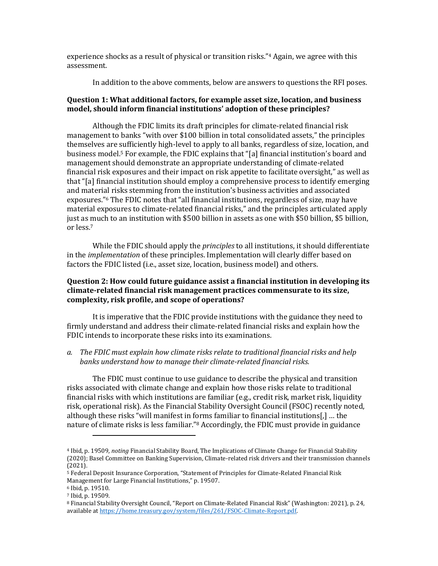experience shocks as a result of physical or transition risks." <sup>4</sup> Again, we agree with this assessment.

In addition to the above comments, below are answers to questions the RFI poses.

#### **Question 1: What additional factors, for example asset size, location, and business model, should inform financial institutions' adoption of these principles?**

Although the FDIC limits its draft principles for climate-related financial risk management to banks "with over \$100 billion in total consolidated assets," the principles themselves are sufficiently high-level to apply to all banks, regardless of size, location, and business model.<sup>5</sup> For example, the FDIC explains that "[a] financial institution's board and management should demonstrate an appropriate understanding of climate-related financial risk exposures and their impact on risk appetite to facilitate oversight," as well as that "[a] financial institution should employ a comprehensive process to identify emerging and material risks stemming from the institution's business activities and associated exposures."<sup>6</sup> The FDIC notes that "all financial institutions, regardless of size, may have material exposures to climate-related financial risks," and the principles articulated apply just as much to an institution with \$500 billion in assets as one with \$50 billion, \$5 billion, or less. 7

While the FDIC should apply the *principles* to all institutions, it should differentiate in the *implementation* of these principles. Implementation will clearly differ based on factors the FDIC listed (i.e., asset size, location, business model) and others.

### **Question 2: How could future guidance assist a financial institution in developing its climate-related financial risk management practices commensurate to its size, complexity, risk profile, and scope of operations?**

It is imperative that the FDIC provide institutions with the guidance they need to firmly understand and address their climate-related financial risks and explain how the FDIC intends to incorporate these risks into its examinations.

## *a. The FDIC must explain how climate risks relate to traditional financial risks and help banks understand how to manage their climate-related financial risks.*

The FDIC must continue to use guidance to describe the physical and transition risks associated with climate change and explain how those risks relate to traditional financial risks with which institutions are familiar (e.g., credit risk, market risk, liquidity risk, operational risk). As the Financial Stability Oversight Council (FSOC) recently noted, although these risks "will manifest in forms familiar to financial institutions[,] … the nature of climate risks is less familiar."<sup>8</sup> Accordingly, the FDIC must provide in guidance

<sup>4</sup> Ibid, p. 19509, *noting* Financial Stability Board, The Implications of Climate Change for Financial Stability (2020); Basel Committee on Banking Supervision, Climate-related risk drivers and their transmission channels (2021).

<sup>5</sup> Federal Deposit Insurance Corporation, "Statement of Principles for Climate-Related Financial Risk Management for Large Financial Institutions," p. 19507.

<sup>6</sup> Ibid, p. 19510.

<sup>7</sup> Ibid, p. 19509.

<sup>8</sup> Financial Stability Oversight Council, "Report on Climate-Related Financial Risk" (Washington: 2021), p. 24, available a[t https://home.treasury.gov/system/files/261/FSOC-Climate-Report.pdf.](https://home.treasury.gov/system/files/261/FSOC-Climate-Report.pdf)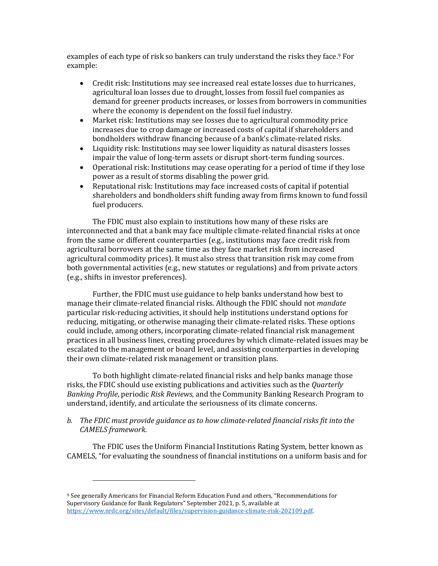examples of each type of risk so bankers can truly understand the risks they face.<sup>9</sup> For example:

- Credit risk: Institutions may see increased real estate losses due to hurricanes, agricultural loan losses due to drought, losses from fossil fuel companies as demand for greener products increases, or losses from borrowers in communities where the economy is dependent on the fossil fuel industry.
- Market risk: Institutions may see losses due to agricultural commodity price increases due to crop damage or increased costs of capital if shareholders and bondholders withdraw financing because of a bank's climate-related risks.
- Liquidity risk: Institutions may see lower liquidity as natural disasters losses impair the value of long-term assets or disrupt short-term funding sources.
- Operational risk: Institutions may cease operating for a period of time if they lose power as a result of storms disabling the power grid.
- Reputational risk: Institutions may face increased costs of capital if potential shareholders and bondholders shift funding away from firms known to fund fossil fuel producers.

The FDIC must also explain to institutions how many of these risks are interconnected and that a bank may face multiple climate-related financial risks at once from the same or different counterparties (e.g., institutions may face credit risk from agricultural borrowers at the same time as they face market risk from increased agricultural commodity prices). It must also stress that transition risk may come from both governmental activities (e.g., new statutes or regulations) and from private actors (e.g., shifts in investor preferences).

Further, the FDIC must use guidance to help banks understand how best to manage their climate-related financial risks. Although the FDIC should not *mandate* particular risk-reducing activities, it should help institutions understand options for reducing, mitigating, or otherwise managing their climate-related risks. These options could include, among others, incorporating climate-related financial risk management practices in all business lines, creating procedures by which climate-related issues may be escalated to the management or board level, and assisting counterparties in developing their own climate-related risk management or transition plans.

To both highlight climate-related financial risks and help banks manage those risks, the FDIC should use existing publications and activities such as the *Quarterly Banking Profile*, periodic *Risk Reviews*, and the Community Banking Research Program to understand, identify, and articulate the seriousness of its climate concerns.

# *b. The FDIC must provide guidance as to how climate-related financial risks fit into the CAMELS framework.*

The FDIC uses the Uniform Financial Institutions Rating System, better known as CAMELS, "for evaluating the soundness of financial institutions on a uniform basis and for

<sup>9</sup> See generally Americans for Financial Reform Education Fund and others, "Recommendations for Supervisory Guidance for Bank Regulators" September 2021, p. 5, available at [https://www.nrdc.org/sites/default/files/supervision-guidance-climate-risk-202109.pdf.](https://www.nrdc.org/sites/default/files/supervision-guidance-climate-risk-202109.pdf)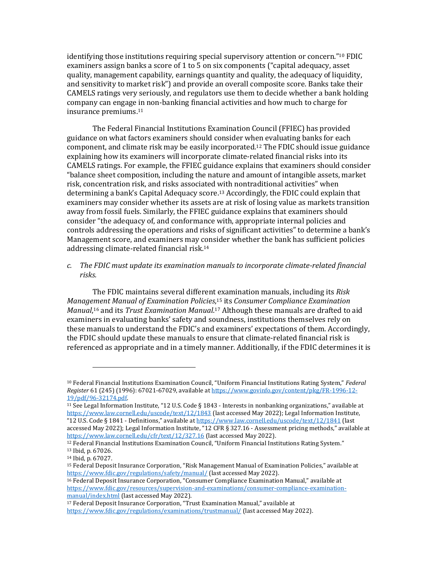identifying those institutions requiring special supervisory attention or concern." <sup>10</sup> FDIC examiners assign banks a score of 1 to 5 on six components ("capital adequacy, asset quality, management capability, earnings quantity and quality, the adequacy of liquidity, and sensitivity to market risk") and provide an overall composite score. Banks take their CAMELS ratings very seriously, and regulators use them to decide whether a bank holding company can engage in non-banking financial activities and how much to charge for insurance premiums. 11

The Federal Financial Institutions Examination Council (FFIEC) has provided guidance on what factors examiners should consider when evaluating banks for each component, and climate risk may be easily incorporated.<sup>12</sup> The FDIC should issue guidance explaining how its examiners will incorporate climate-related financial risks into its CAMELS ratings. For example, the FFIEC guidance explains that examiners should consider "balance sheet composition, including the nature and amount of intangible assets, market risk, concentration risk, and risks associated with nontraditional activities" when determining a bank's Capital Adequacy score. <sup>13</sup> Accordingly, the FDIC could explain that examiners may consider whether its assets are at risk of losing value as markets transition away from fossil fuels. Similarly, the FFIEC guidance explains that examiners should consider "the adequacy of, and conformance with, appropriate internal policies and controls addressing the operations and risks of significant activities" to determine a bank's Management score, and examiners may consider whether the bank has sufficient policies addressing climate-related financial risk.<sup>14</sup>

*c. The FDIC must update its examination manuals to incorporate climate-related financial risks.*

The FDIC maintains several different examination manuals, including its *Risk Management Manual of Examination Policies*, <sup>15</sup> its *Consumer Compliance Examination*  Manual,<sup>16</sup> and its *Trust Examination Manual*.<sup>17</sup> Although these manuals are drafted to aid examiners in evaluating banks' safety and soundness, institutions themselves rely on these manuals to understand the FDIC's and examiners' expectations of them. Accordingly, the FDIC should update these manuals to ensure that climate-related financial risk is referenced as appropriate and in a timely manner. Additionally, if the FDIC determines it is

<sup>16</sup> Federal Deposit Insurance Corporation, "Consumer Compliance Examination Manual," available at [https://www.fdic.gov/resources/supervision-and-examinations/consumer-compliance-examination](https://www.fdic.gov/resources/supervision-and-examinations/consumer-compliance-examination-manual/index.html)[manual/index.html](https://www.fdic.gov/resources/supervision-and-examinations/consumer-compliance-examination-manual/index.html) (last accessed May 2022).

<sup>17</sup> Federal Deposit Insurance Corporation, "Trust Examination Manual," available at <https://www.fdic.gov/regulations/examinations/trustmanual/> (last accessed May 2022).

<sup>10</sup> Federal Financial Institutions Examination Council, "Uniform Financial Institutions Rating System," *Federal Register* 61 (245) (1996): 67021-67029, available a[t https://www.govinfo.gov/content/pkg/FR-1996-12-](https://www.govinfo.gov/content/pkg/FR-1996-12-19/pdf/96-32174.pdf) [19/pdf/96-32174.pdf.](https://www.govinfo.gov/content/pkg/FR-1996-12-19/pdf/96-32174.pdf) 

<sup>11</sup> See Legal Information Institute, "12 U.S. Code § 1843 - Interests in nonbanking organizations," available at <https://www.law.cornell.edu/uscode/text/12/1843> (last accessed May 2022); Legal Information Institute, "12 U.S. Code § 1841 - Definitions," available at <https://www.law.cornell.edu/uscode/text/12/1841> (last accessed May 2022); Legal Information Institute, "12 CFR § 327.16 - Assessment pricing methods," available at <https://www.law.cornell.edu/cfr/text/12/327.16> (last accessed May 2022).

<sup>12</sup> Federal Financial Institutions Examination Council, "Uniform Financial Institutions Rating System." <sup>13</sup> Ibid, p. 67026.

<sup>14</sup> Ibid, p. 67027.

<sup>15</sup> Federal Deposit Insurance Corporation, "Risk Management Manual of Examination Policies," available at <https://www.fdic.gov/regulations/safety/manual/> (last accessed May 2022).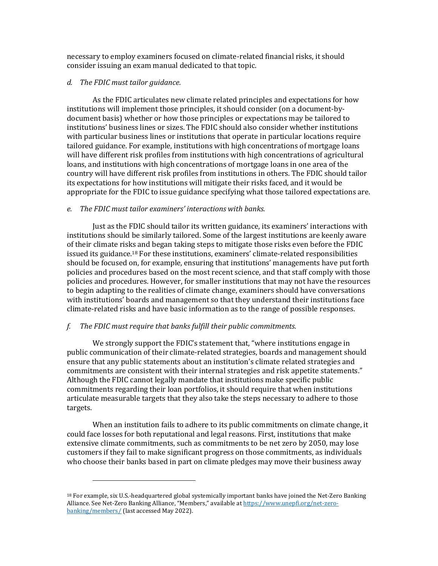necessary to employ examiners focused on climate-related financial risks, it should consider issuing an exam manual dedicated to that topic.

### *d. The FDIC must tailor guidance.*

As the FDIC articulates new climate related principles and expectations for how institutions will implement those principles, it should consider (on a document-bydocument basis) whether or how those principles or expectations may be tailored to institutions' business lines or sizes. The FDIC should also consider whether institutions with particular business lines or institutions that operate in particular locations require tailored guidance. For example, institutions with high concentrations of mortgage loans will have different risk profiles from institutions with high concentrations of agricultural loans, and institutions with high concentrations of mortgage loans in one area of the country will have different risk profiles from institutions in others. The FDIC should tailor its expectations for how institutions will mitigate their risks faced, and it would be appropriate for the FDIC to issue guidance specifying what those tailored expectations are.

#### *e. The FDIC must tailor examiners' interactions with banks.*

Just as the FDIC should tailor its written guidance, its examiners' interactions with institutions should be similarly tailored. Some of the largest institutions are keenly aware of their climate risks and began taking steps to mitigate those risks even before the FDIC issued its guidance.<sup>18</sup> For these institutions, examiners' climate-related responsibilities should be focused on, for example, ensuring that institutions' managements have put forth policies and procedures based on the most recent science, and that staff comply with those policies and procedures. However, for smaller institutions that may not have the resources to begin adapting to the realities of climate change, examiners should have conversations with institutions' boards and management so that they understand their institutions face climate-related risks and have basic information as to the range of possible responses.

## *f. The FDIC must require that banks fulfill their public commitments.*

We strongly support the FDIC's statement that, "where institutions engage in public communication of their climate-related strategies, boards and management should ensure that any public statements about an institution's climate related strategies and commitments are consistent with their internal strategies and risk appetite statements." Although the FDIC cannot legally mandate that institutions make specific public commitments regarding their loan portfolios, it should require that when institutions articulate measurable targets that they also take the steps necessary to adhere to those targets.

When an institution fails to adhere to its public commitments on climate change, it could face losses for both reputational and legal reasons. First, institutions that make extensive climate commitments, such as commitments to be net zero by 2050, may lose customers if they fail to make significant progress on those commitments, as individuals who choose their banks based in part on climate pledges may move their business away

<sup>&</sup>lt;sup>18</sup> For example, six U.S.-headquartered global systemically important banks have joined the Net-Zero Banking Alliance. See Net-Zero Banking Alliance, "Members," available at [https://www.unepfi.org/net-zero](https://www.unepfi.org/net-zero-banking/members/)[banking/members/](https://www.unepfi.org/net-zero-banking/members/) (last accessed May 2022).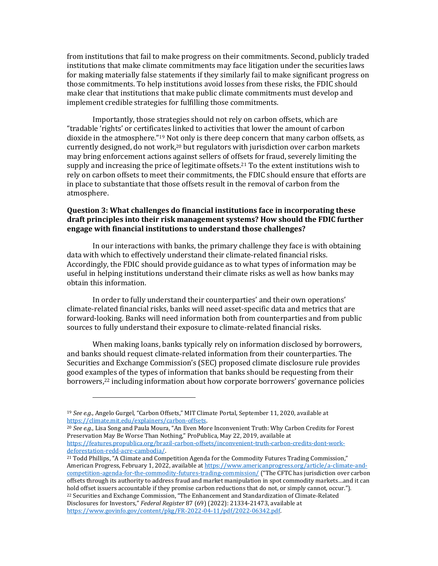from institutions that fail to make progress on their commitments. Second, publicly traded institutions that make climate commitments may face litigation under the securities laws for making materially false statements if they similarly fail to make significant progress on those commitments. To help institutions avoid losses from these risks, the FDIC should make clear that institutions that make public climate commitments must develop and implement credible strategies for fulfilling those commitments.

Importantly, those strategies should not rely on carbon offsets, which are "tradable 'rights' or certificates linked to activities that lower the amount of carbon dioxide in the atmosphere."<sup>19</sup> Not only is there deep concern that many carbon offsets, as currently designed, do not work,<sup>20</sup> but regulators with jurisdiction over carbon markets may bring enforcement actions against sellers of offsets for fraud, severely limiting the supply and increasing the price of legitimate offsets.<sup>21</sup> To the extent institutions wish to rely on carbon offsets to meet their commitments, the FDIC should ensure that efforts are in place to substantiate that those offsets result in the removal of carbon from the atmosphere.

## **Question 3: What challenges do financial institutions face in incorporating these draft principles into their risk management systems? How should the FDIC further engage with financial institutions to understand those challenges?**

In our interactions with banks, the primary challenge they face is with obtaining data with which to effectively understand their climate-related financial risks. Accordingly, the FDIC should provide guidance as to what types of information may be useful in helping institutions understand their climate risks as well as how banks may obtain this information.

In order to fully understand their counterparties' and their own operations' climate-related financial risks, banks will need asset-specific data and metrics that are forward-looking. Banks will need information both from counterparties and from public sources to fully understand their exposure to climate-related financial risks.

When making loans, banks typically rely on information disclosed by borrowers, and banks should request climate-related information from their counterparties. The Securities and Exchange Commission's (SEC) proposed climate disclosure rule provides good examples of the types of information that banks should be requesting from their borrowers, <sup>22</sup> including information about how corporate borrowers' governance policies

<sup>20</sup> *See e.g.*, Lisa Song and Paula Moura, "An Even More Inconvenient Truth: Why Carbon Credits for Forest Preservation May Be Worse Than Nothing," ProPublica, May 22, 2019, available at [https://features.propublica.org/brazil-carbon-offsets/inconvenient-truth-carbon-credits-dont-work](https://features.propublica.org/brazil-carbon-offsets/inconvenient-truth-carbon-credits-dont-work-deforestation-redd-acre-cambodia/)[deforestation-redd-acre-cambodia/.](https://features.propublica.org/brazil-carbon-offsets/inconvenient-truth-carbon-credits-dont-work-deforestation-redd-acre-cambodia/)

<sup>19</sup> *See e.g.*, Angelo Gurgel, "Carbon Offsets," MIT Climate Portal, September 11, 2020, available at [https://climate.mit.edu/explainers/carbon-offsets.](https://climate.mit.edu/explainers/carbon-offsets)

<sup>21</sup> Todd Phillips, "A Climate and Competition Agenda for the Commodity Futures Trading Commission," American Progress, February 1, 2022, available a[t https://www.americanprogress.org/article/a-climate-and](https://www.americanprogress.org/article/a-climate-and-competition-agenda-for-the-commodity-futures-trading-commission/)[competition-agenda-for-the-commodity-futures-trading-commission/](https://www.americanprogress.org/article/a-climate-and-competition-agenda-for-the-commodity-futures-trading-commission/) ("The CFTC has jurisdiction over carbon offsets through its authority to address fraud and market manipulation in spot commodity markets…and it can hold offset issuers accountable if they promise carbon reductions that do not, or simply cannot, occur."). <sup>22</sup> Securities and Exchange Commission, "The Enhancement and Standardization of Climate-Related Disclosures for Investors," *Federal Register* 87 (69) (2022): 21334-21473, available at [https://www.govinfo.gov/content/pkg/FR-2022-04-11/pdf/2022-06342.pdf.](https://www.govinfo.gov/content/pkg/FR-2022-04-11/pdf/2022-06342.pdf)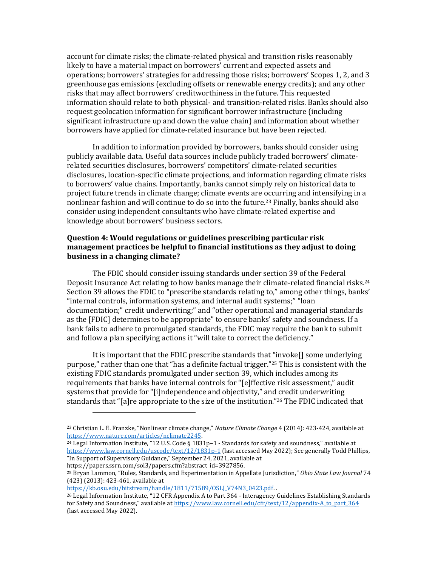account for climate risks; the climate-related physical and transition risks reasonably likely to have a material impact on borrowers' current and expected assets and operations; borrowers' strategies for addressing those risks; borrowers' Scopes 1, 2, and 3 greenhouse gas emissions (excluding offsets or renewable energy credits); and any other risks that may affect borrowers' creditworthiness in the future. This requested information should relate to both physical- and transition-related risks. Banks should also request geolocation information for significant borrower infrastructure (including significant infrastructure up and down the value chain) and information about whether borrowers have applied for climate-related insurance but have been rejected.

In addition to information provided by borrowers, banks should consider using publicly available data. Useful data sources include publicly traded borrowers' climaterelated securities disclosures, borrowers' competitors' climate-related securities disclosures, location-specific climate projections, and information regarding climate risks to borrowers' value chains. Importantly, banks cannot simply rely on historical data to project future trends in climate change; climate events are occurring and intensifying in a nonlinear fashion and will continue to do so into the future.<sup>23</sup> Finally, banks should also consider using independent consultants who have climate-related expertise and knowledge about borrowers' business sectors.

## **Question 4: Would regulations or guidelines prescribing particular risk management practices be helpful to financial institutions as they adjust to doing business in a changing climate?**

The FDIC should consider issuing standards under section 39 of the Federal Deposit Insurance Act relating to how banks manage their climate-related financial risks.<sup>24</sup> Section 39 allows the FDIC to "prescribe standards relating to," among other things, banks' "internal controls, information systems, and internal audit systems;" "loan documentation;" credit underwriting;" and "other operational and managerial standards as the [FDIC] determines to be appropriate" to ensure banks' safety and soundness. If a bank fails to adhere to promulgated standards, the FDIC may require the bank to submit and follow a plan specifying actions it "will take to correct the deficiency."

It is important that the FDIC prescribe standards that "invoke[] some underlying purpose," rather than one that "has a definite factual trigger."<sup>25</sup> This is consistent with the existing FDIC standards promulgated under section 39, which includes among its requirements that banks have internal controls for "[e]ffective risk assessment," audit systems that provide for "[i]ndependence and objectivity," and credit underwriting standards that "[a]re appropriate to the size of the institution."<sup>26</sup> The FDIC indicated that

[https://kb.osu.edu/bitstream/handle/1811/71589/OSLJ\\_V74N3\\_0423.pdf.](https://kb.osu.edu/bitstream/handle/1811/71589/OSLJ_V74N3_0423.pdf)

<sup>23</sup> Christian L. E. Franzke, "Nonlinear climate change," *Nature Climate Change* 4 (2014): 423-424, available at [https://www.nature.com/articles/nclimate2245.](https://www.nature.com/articles/nclimate2245) 

<sup>24</sup> Legal Information Institute, "12 U.S. Code § 1831p–1 - Standards for safety and soundness," available at <https://www.law.cornell.edu/uscode/text/12/1831p-1> (last accessed May 2022); See generally Todd Phillips, "In Support of Supervisory Guidance," September 24, 2021, available at https://papers.ssrn.com/sol3/papers.cfm?abstract\_id=3927856.

<sup>25</sup> Bryan Lammon, "Rules, Standards, and Experimentation in Appellate Jurisdiction," *Ohio State Law Journal* 74 (423) (2013): 423-461, available at

<sup>26</sup> Legal Information Institute, "12 CFR Appendix A to Part 364 - Interagency Guidelines Establishing Standards for Safety and Soundness," available at [https://www.law.cornell.edu/cfr/text/12/appendix-A\\_to\\_part\\_364](https://www.law.cornell.edu/cfr/text/12/appendix-A_to_part_364) (last accessed May 2022).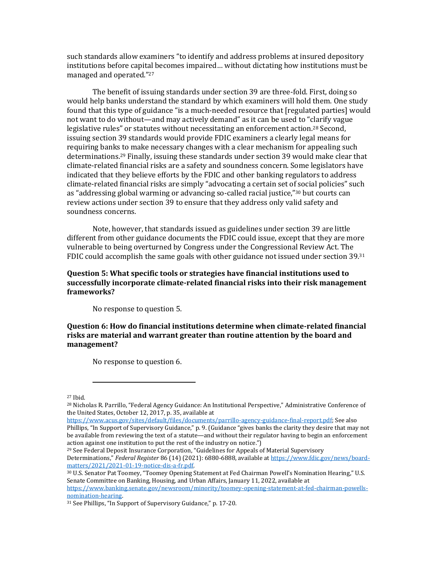such standards allow examiners "to identify and address problems at insured depository institutions before capital becomes impaired… without dictating how institutions must be managed and operated." 27

The benefit of issuing standards under section 39 are three-fold. First, doing so would help banks understand the standard by which examiners will hold them. One study found that this type of guidance "is a much-needed resource that [regulated parties] would not want to do without—and may actively demand" as it can be used to "clarify vague legislative rules" or statutes without necessitating an enforcement action.<sup>28</sup> Second, issuing section 39 standards would provide FDIC examiners a clearly legal means for requiring banks to make necessary changes with a clear mechanism for appealing such determinations.<sup>29</sup> Finally, issuing these standards under section 39 would make clear that climate-related financial risks are a safety and soundness concern. Some legislators have indicated that they believe efforts by the FDIC and other banking regulators to address climate-related financial risks are simply "advocating a certain set of social policies" such as "addressing global warming or advancing so-called racial justice," <sup>30</sup> but courts can review actions under section 39 to ensure that they address only valid safety and soundness concerns.

Note, however, that standards issued as guidelines under section 39 are little different from other guidance documents the FDIC could issue, except that they are more vulnerable to being overturned by Congress under the Congressional Review Act. The FDIC could accomplish the same goals with other guidance not issued under section  $39^{31}$ 

## **Question 5: What specific tools or strategies have financial institutions used to successfully incorporate climate-related financial risks into their risk management frameworks?**

No response to question 5.

**Question 6: How do financial institutions determine when climate-related financial risks are material and warrant greater than routine attention by the board and management?**

No response to question 6.

<sup>29</sup> See Federal Deposit Insurance Corporation, "Guidelines for Appeals of Material Supervisory Determinations," *Federal Register* 86 (14) (2021): 6880-6888, available a[t https://www.fdic.gov/news/board](https://www.fdic.gov/news/board-matters/2021/2021-01-19-notice-dis-a-fr.pdf)[matters/2021/2021-01-19-notice-dis-a-fr.pdf.](https://www.fdic.gov/news/board-matters/2021/2021-01-19-notice-dis-a-fr.pdf) 

<sup>30</sup> U.S. Senator Pat Toomey, "Toomey Opening Statement at Fed Chairman Powell's Nomination Hearing," U.S. Senate Committee on Banking, Housing, and Urban Affairs, January 11, 2022, available at

[https://www.banking.senate.gov/newsroom/minority/toomey-opening-statement-at-fed-chairman-powells](https://www.banking.senate.gov/newsroom/minority/toomey-opening-statement-at-fed-chairman-powells-nomination-hearing)[nomination-hearing.](https://www.banking.senate.gov/newsroom/minority/toomey-opening-statement-at-fed-chairman-powells-nomination-hearing) 

<sup>27</sup> Ibid.

<sup>28</sup> Nicholas R. Parrillo, "Federal Agency Guidance: An Institutional Perspective," Administrative Conference of the United States, October 12, 2017, p. 35, available at

[https://www.acus.gov/sites/default/files/documents/parrillo-agency-guidance-final-report.pdf;](https://www.acus.gov/sites/default/files/documents/parrillo-agency-guidance-final-report.pdf) See also Phillips, "In Support of Supervisory Guidance," p. 9. (Guidance "gives banks the clarity they desire that may not be available from reviewing the text of a statute—and without their regulator having to begin an enforcement action against one institution to put the rest of the industry on notice.")

<sup>31</sup> See Phillips, "In Support of Supervisory Guidance," p. 17-20.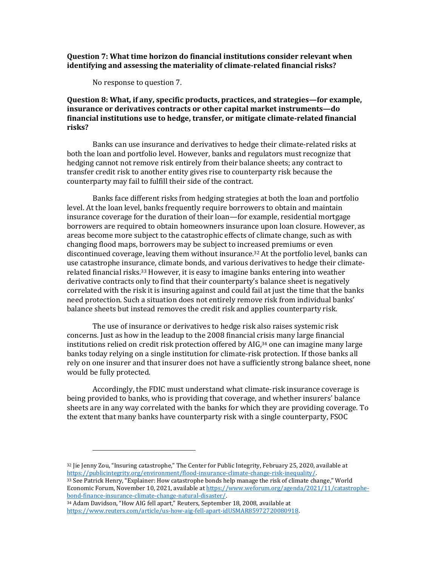**Question 7: What time horizon do financial institutions consider relevant when identifying and assessing the materiality of climate-related financial risks?**

No response to question 7.

## **Question 8: What, if any, specific products, practices, and strategies—for example, insurance or derivatives contracts or other capital market instruments—do financial institutions use to hedge, transfer, or mitigate climate-related financial risks?**

Banks can use insurance and derivatives to hedge their climate-related risks at both the loan and portfolio level. However, banks and regulators must recognize that hedging cannot not remove risk entirely from their balance sheets; any contract to transfer credit risk to another entity gives rise to counterparty risk because the counterparty may fail to fulfill their side of the contract.

Banks face different risks from hedging strategies at both the loan and portfolio level. At the loan level, banks frequently require borrowers to obtain and maintain insurance coverage for the duration of their loan—for example, residential mortgage borrowers are required to obtain homeowners insurance upon loan closure. However, as areas become more subject to the catastrophic effects of climate change, such as with changing flood maps, borrowers may be subject to increased premiums or even discontinued coverage, leaving them without insurance. <sup>32</sup> At the portfolio level, banks can use catastrophe insurance, climate bonds, and various derivatives to hedge their climaterelated financial risks.<sup>33</sup> However, it is easy to imagine banks entering into weather derivative contracts only to find that their counterparty's balance sheet is negatively correlated with the risk it is insuring against and could fail at just the time that the banks need protection. Such a situation does not entirely remove risk from individual banks' balance sheets but instead removes the credit risk and applies counterparty risk.

The use of insurance or derivatives to hedge risk also raises systemic risk concerns. Just as how in the leadup to the 2008 financial crisis many large financial institutions relied on credit risk protection offered by AIG, <sup>34</sup> one can imagine many large banks today relying on a single institution for climate-risk protection. If those banks all rely on one insurer and that insurer does not have a sufficiently strong balance sheet, none would be fully protected.

Accordingly, the FDIC must understand what climate-risk insurance coverage is being provided to banks, who is providing that coverage, and whether insurers' balance sheets are in any way correlated with the banks for which they are providing coverage. To the extent that many banks have counterparty risk with a single counterparty, FSOC

<sup>32</sup> Jie Jenny Zou, "Insuring catastrophe," The Center for Public Integrity, February 25, 2020, available at [https://publicintegrity.org/environment/flood-insurance-climate-change-risk-inequality/.](https://publicintegrity.org/environment/flood-insurance-climate-change-risk-inequality/)

<sup>33</sup> See Patrick Henry, "Explainer: How catastrophe bonds help manage the risk of climate change," World Economic Forum, November 10, 2021, available a[t https://www.weforum.org/agenda/2021/11/catastrophe](https://www.weforum.org/agenda/2021/11/catastrophe-bond-finance-insurance-climate-change-natural-disaster/)[bond-finance-insurance-climate-change-natural-disaster/.](https://www.weforum.org/agenda/2021/11/catastrophe-bond-finance-insurance-climate-change-natural-disaster/) 

<sup>34</sup> Adam Davidson, "How AIG fell apart," Reuters, September 18, 2008, available at [https://www.reuters.com/article/us-how-aig-fell-apart-idUSMAR85972720080918.](https://www.reuters.com/article/us-how-aig-fell-apart-idUSMAR85972720080918)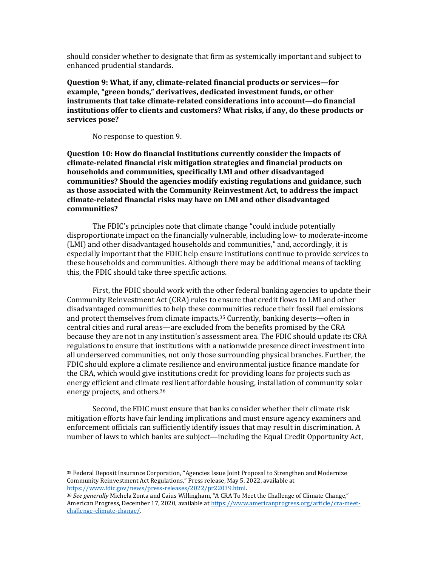should consider whether to designate that firm as systemically important and subject to enhanced prudential standards.

**Question 9: What, if any, climate-related financial products or services—for example, "green bonds," derivatives, dedicated investment funds, or other instruments that take climate-related considerations into account—do financial institutions offer to clients and customers? What risks, if any, do these products or services pose?**

No response to question 9.

**Question 10: How do financial institutions currently consider the impacts of climate-related financial risk mitigation strategies and financial products on households and communities, specifically LMI and other disadvantaged communities? Should the agencies modify existing regulations and guidance, such as those associated with the Community Reinvestment Act, to address the impact climate-related financial risks may have on LMI and other disadvantaged communities?**

The FDIC's principles note that climate change "could include potentially disproportionate impact on the financially vulnerable, including low- to moderate-income (LMI) and other disadvantaged households and communities," and, accordingly, it is especially important that the FDIC help ensure institutions continue to provide services to these households and communities. Although there may be additional means of tackling this, the FDIC should take three specific actions.

First, the FDIC should work with the other federal banking agencies to update their Community Reinvestment Act (CRA) rules to ensure that credit flows to LMI and other disadvantaged communities to help these communities reduce their fossil fuel emissions and protect themselves from climate impacts.<sup>35</sup> Currently, banking deserts—often in central cities and rural areas—are excluded from the benefits promised by the CRA because they are not in any institution's assessment area. The FDIC should update its CRA regulations to ensure that institutions with a nationwide presence direct investment into all underserved communities, not only those surrounding physical branches. Further, the FDIC should explore a climate resilience and environmental justice finance mandate for the CRA, which would give institutions credit for providing loans for projects such as energy efficient and climate resilient affordable housing, installation of community solar energy projects, and others.<sup>36</sup>

Second, the FDIC must ensure that banks consider whether their climate risk mitigation efforts have fair lending implications and must ensure agency examiners and enforcement officials can sufficiently identify issues that may result in discrimination. A number of laws to which banks are subject—including the Equal Credit Opportunity Act,

<sup>35</sup> Federal Deposit Insurance Corporation, "Agencies Issue Joint Proposal to Strengthen and Modernize Community Reinvestment Act Regulations," Press release, May 5, 2022, available at [https://www.fdic.gov/news/press-releases/2022/pr22039.html.](https://www.fdic.gov/news/press-releases/2022/pr22039.html) 

<sup>36</sup> *See generally* Michela Zonta and Caius Willingham, "A CRA To Meet the Challenge of Climate Change," American Progress, December 17, 2020, available a[t https://www.americanprogress.org/article/cra-meet](https://www.americanprogress.org/article/cra-meet-challenge-climate-change/)[challenge-climate-change/.](https://www.americanprogress.org/article/cra-meet-challenge-climate-change/)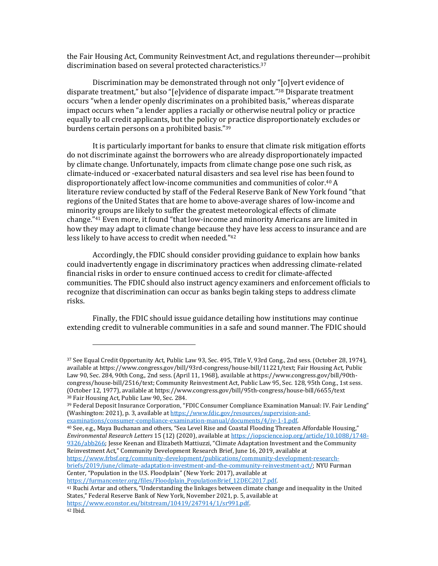the Fair Housing Act, Community Reinvestment Act, and regulations thereunder—prohibit discrimination based on several protected characteristics. 37

Discrimination may be demonstrated through not only "[o]vert evidence of disparate treatment," but also "[e]vidence of disparate impact." <sup>38</sup> Disparate treatment occurs "when a lender openly discriminates on a prohibited basis," whereas disparate impact occurs when "a lender applies a racially or otherwise neutral policy or practice equally to all credit applicants, but the policy or practice disproportionately excludes or burdens certain persons on a prohibited basis."<sup>39</sup>

It is particularly important for banks to ensure that climate risk mitigation efforts do not discriminate against the borrowers who are already disproportionately impacted by climate change. Unfortunately, impacts from climate change pose one such risk, as climate-induced or -exacerbated natural disasters and sea level rise has been found to disproportionately affect low-income communities and communities of color.<sup>40</sup> A literature review conducted by staff of the Federal Reserve Bank of New York found "that regions of the United States that are home to above-average shares of low-income and minority groups are likely to suffer the greatest meteorological effects of climate change." <sup>41</sup> Even more, it found "that low-income and minority Americans are limited in how they may adapt to climate change because they have less access to insurance and are less likely to have access to credit when needed." 42

Accordingly, the FDIC should consider providing guidance to explain how banks could inadvertently engage in discriminatory practices when addressing climate-related financial risks in order to ensure continued access to credit for climate-affected communities. The FDIC should also instruct agency examiners and enforcement officials to recognize that discrimination can occur as banks begin taking steps to address climate risks.

Finally, the FDIC should issue guidance detailing how institutions may continue extending credit to vulnerable communities in a safe and sound manner. The FDIC should

<sup>40</sup> See, e.g., Maya Buchanan and others, "Sea Level Rise and Coastal Flooding Threaten Affordable Housing," *Environmental Research Letters* 15 (12) (2020), available a[t https://iopscience.iop.org/article/10.1088/1748-](https://iopscience.iop.org/article/10.1088/1748-9326/abb266) [9326/abb266;](https://iopscience.iop.org/article/10.1088/1748-9326/abb266) Jesse Keenan and Elizabeth Mattiuzzi, "Climate Adaptation Investment and the Community Reinvestment Act," Community Development Research Brief, June 16, 2019, available at [https://www.frbsf.org/community-development/publications/community-development-research](https://www.frbsf.org/community-development/publications/community-development-research-briefs/2019/june/climate-adaptation-investment-and-the-community-reinvestment-act/)[briefs/2019/june/climate-adaptation-investment-and-the-community-reinvestment-act/;](https://www.frbsf.org/community-development/publications/community-development-research-briefs/2019/june/climate-adaptation-investment-and-the-community-reinvestment-act/) NYU Furman Center, "Population in the U.S. Floodplain" (New York: 2017), available at https://furmancenter.org/files/Floodplain\_PopulationBrief\_12DEC2017.pdf.

<sup>41</sup> Ruchi Avtar and others, "Understanding the linkages between climate change and inequality in the United States," Federal Reserve Bank of New York, November 2021, p. 5, available at [https://www.econstor.eu/bitstream/10419/247914/1/sr991.pdf.](https://www.econstor.eu/bitstream/10419/247914/1/sr991.pdf)  <sup>42</sup> Ibid.

<sup>37</sup> See Equal Credit Opportunity Act, Public Law 93, Sec. 495, Title V, 93rd Cong., 2nd sess. (October 28, 1974), available at https://www.congress.gov/bill/93rd-congress/house-bill/11221/text; Fair Housing Act, Public Law 90, Sec. 284, 90th Cong., 2nd sess. (April 11, 1968), available at https://www.congress.gov/bill/90thcongress/house-bill/2516/text; Community Reinvestment Act, Public Law 95, Sec. 128, 95th Cong., 1st sess. (October 12, 1977), available at https://www.congress.gov/bill/95th-congress/house-bill/6655/text <sup>38</sup> Fair Housing Act, Public Law 90, Sec. 284.

<sup>39</sup> Federal Deposit Insurance Corporation, "FDIC Consumer Compliance Examination Manual: IV. Fair Lending" (Washington: 2021), p. 3, available a[t https://www.fdic.gov/resources/supervision-and](https://www.fdic.gov/resources/supervision-and-examinations/consumer-compliance-examination-manual/documents/4/iv-1-1.pdf)[examinations/consumer-compliance-examination-manual/documents/4/iv-1-1.pdf.](https://www.fdic.gov/resources/supervision-and-examinations/consumer-compliance-examination-manual/documents/4/iv-1-1.pdf)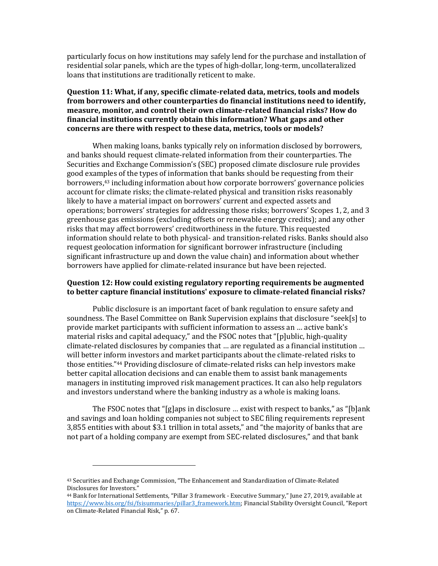particularly focus on how institutions may safely lend for the purchase and installation of residential solar panels, which are the types of high-dollar, long-term, uncollateralized loans that institutions are traditionally reticent to make.

# **Question 11: What, if any, specific climate-related data, metrics, tools and models from borrowers and other counterparties do financial institutions need to identify, measure, monitor, and control their own climate-related financial risks? How do financial institutions currently obtain this information? What gaps and other concerns are there with respect to these data, metrics, tools or models?**

When making loans, banks typically rely on information disclosed by borrowers, and banks should request climate-related information from their counterparties. The Securities and Exchange Commission's (SEC) proposed climate disclosure rule provides good examples of the types of information that banks should be requesting from their borrowers,<sup>43</sup> including information about how corporate borrowers' governance policies account for climate risks; the climate-related physical and transition risks reasonably likely to have a material impact on borrowers' current and expected assets and operations; borrowers' strategies for addressing those risks; borrowers' Scopes 1, 2, and 3 greenhouse gas emissions (excluding offsets or renewable energy credits); and any other risks that may affect borrowers' creditworthiness in the future. This requested information should relate to both physical- and transition-related risks. Banks should also request geolocation information for significant borrower infrastructure (including significant infrastructure up and down the value chain) and information about whether borrowers have applied for climate-related insurance but have been rejected.

### **Question 12: How could existing regulatory reporting requirements be augmented to better capture financial institutions' exposure to climate-related financial risks?**

Public disclosure is an important facet of bank regulation to ensure safety and soundness. The Basel Committee on Bank Supervision explains that disclosure "seek[s] to provide market participants with sufficient information to assess an … active bank's material risks and capital adequacy," and the FSOC notes that "[p]ublic, high-quality climate-related disclosures by companies that … are regulated as a financial institution … will better inform investors and market participants about the climate-related risks to those entities." <sup>44</sup> Providing disclosure of climate-related risks can help investors make better capital allocation decisions and can enable them to assist bank managements managers in instituting improved risk management practices. It can also help regulators and investors understand where the banking industry as a whole is making loans.

The FSOC notes that "[g]aps in disclosure … exist with respect to banks," as "[b]ank and savings and loan holding companies not subject to SEC filing requirements represent 3,855 entities with about \$3.1 trillion in total assets," and "the majority of banks that are not part of a holding company are exempt from SEC-related disclosures," and that bank

<sup>43</sup> Securities and Exchange Commission, "The Enhancement and Standardization of Climate-Related Disclosures for Investors."

<sup>44</sup> Bank for International Settlements, "Pillar 3 framework - Executive Summary," June 27, 2019, available at [https://www.bis.org/fsi/fsisummaries/pillar3\\_framework.htm;](https://www.bis.org/fsi/fsisummaries/pillar3_framework.htm) Financial Stability Oversight Council, "Report on Climate-Related Financial Risk," p. 67.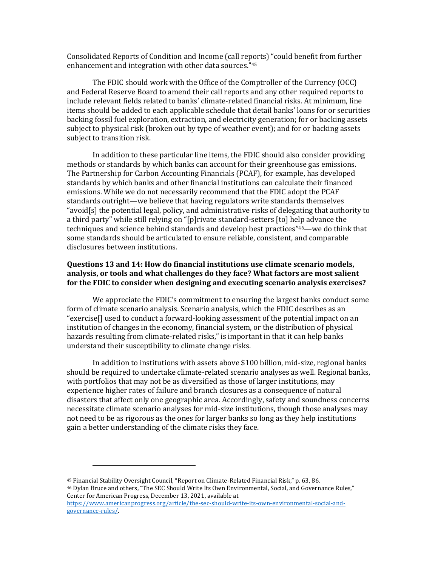Consolidated Reports of Condition and Income (call reports) "could benefit from further enhancement and integration with other data sources." 45

The FDIC should work with the Office of the Comptroller of the Currency (OCC) and Federal Reserve Board to amend their call reports and any other required reports to include relevant fields related to banks' climate-related financial risks. At minimum, line items should be added to each applicable schedule that detail banks' loans for or securities backing fossil fuel exploration, extraction, and electricity generation; for or backing assets subject to physical risk (broken out by type of weather event); and for or backing assets subject to transition risk.

In addition to these particular line items, the FDIC should also consider providing methods or standards by which banks can account for their greenhouse gas emissions. The Partnership for Carbon Accounting Financials (PCAF), for example, has developed standards by which banks and other financial institutions can calculate their financed emissions. While we do not necessarily recommend that the FDIC adopt the PCAF standards outright—we believe that having regulators write standards themselves "avoid[s] the potential legal, policy, and administrative risks of delegating that authority to a third party" while still relying on "[p]rivate standard-setters [to] help advance the techniques and science behind standards and develop best practices" <sup>46</sup>—we do think that some standards should be articulated to ensure reliable, consistent, and comparable disclosures between institutions.

# **Questions 13 and 14: How do financial institutions use climate scenario models, analysis, or tools and what challenges do they face? What factors are most salient for the FDIC to consider when designing and executing scenario analysis exercises?**

We appreciate the FDIC's commitment to ensuring the largest banks conduct some form of climate scenario analysis. Scenario analysis, which the FDIC describes as an "exercise[] used to conduct a forward-looking assessment of the potential impact on an institution of changes in the economy, financial system, or the distribution of physical hazards resulting from climate-related risks," is important in that it can help banks understand their susceptibility to climate change risks.

In addition to institutions with assets above \$100 billion, mid-size, regional banks should be required to undertake climate-related scenario analyses as well. Regional banks, with portfolios that may not be as diversified as those of larger institutions, may experience higher rates of failure and branch closures as a consequence of natural disasters that affect only one geographic area. Accordingly, safety and soundness concerns necessitate climate scenario analyses for mid-size institutions, though those analyses may not need to be as rigorous as the ones for larger banks so long as they help institutions gain a better understanding of the climate risks they face.

<sup>45</sup> Financial Stability Oversight Council, "Report on Climate-Related Financial Risk," p. 63, 86.

<sup>46</sup> Dylan Bruce and others, "The SEC Should Write Its Own Environmental, Social, and Governance Rules," Center for American Progress, December 13, 2021, available at

[https://www.americanprogress.org/article/the-sec-should-write-its-own-environmental-social-and](https://www.americanprogress.org/article/the-sec-should-write-its-own-environmental-social-and-governance-rules/)[governance-rules/.](https://www.americanprogress.org/article/the-sec-should-write-its-own-environmental-social-and-governance-rules/)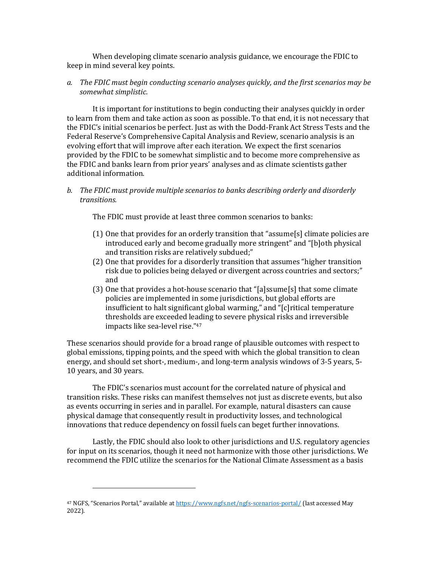When developing climate scenario analysis guidance, we encourage the FDIC to keep in mind several key points.

## *a. The FDIC must begin conducting scenario analyses quickly, and the first scenarios may be somewhat simplistic.*

It is important for institutions to begin conducting their analyses quickly in order to learn from them and take action as soon as possible. To that end, it is not necessary that the FDIC's initial scenarios be perfect. Just as with the Dodd-Frank Act Stress Tests and the Federal Reserve's Comprehensive Capital Analysis and Review, scenario analysis is an evolving effort that will improve after each iteration. We expect the first scenarios provided by the FDIC to be somewhat simplistic and to become more comprehensive as the FDIC and banks learn from prior years' analyses and as climate scientists gather additional information.

# *b. The FDIC must provide multiple scenarios to banks describing orderly and disorderly transitions.*

The FDIC must provide at least three common scenarios to banks:

- (1) One that provides for an orderly transition that "assume[s] climate policies are introduced early and become gradually more stringent" and "[b]oth physical and transition risks are relatively subdued;"
- (2) One that provides for a disorderly transition that assumes "higher transition risk due to policies being delayed or divergent across countries and sectors;" and
- (3) One that provides a hot-house scenario that "[a]ssume[s] that some climate policies are implemented in some jurisdictions, but global efforts are insufficient to halt significant global warming," and "[c]ritical temperature thresholds are exceeded leading to severe physical risks and irreversible impacts like sea-level rise." 47

These scenarios should provide for a broad range of plausible outcomes with respect to global emissions, tipping points, and the speed with which the global transition to clean energy, and should set short-, medium-, and long-term analysis windows of 3-5 years, 5- 10 years, and 30 years.

The FDIC's scenarios must account for the correlated nature of physical and transition risks. These risks can manifest themselves not just as discrete events, but also as events occurring in series and in parallel. For example, natural disasters can cause physical damage that consequently result in productivity losses, and technological innovations that reduce dependency on fossil fuels can beget further innovations.

Lastly, the FDIC should also look to other jurisdictions and U.S. regulatory agencies for input on its scenarios, though it need not harmonize with those other jurisdictions. We recommend the FDIC utilize the scenarios for the National Climate Assessment as a basis

<sup>&</sup>lt;sup>47</sup> NGFS, "Scenarios Portal," available at <https://www.ngfs.net/ngfs-scenarios-portal/> (last accessed May 2022).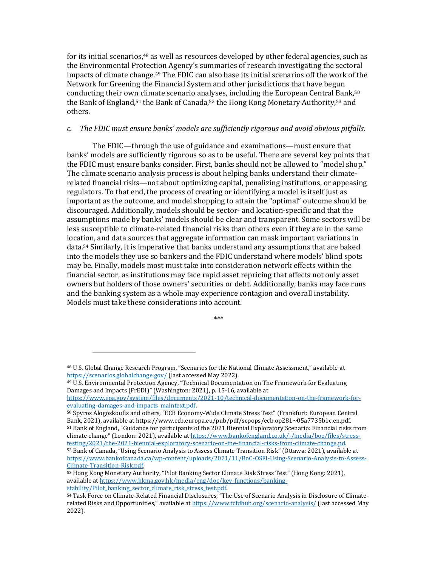for its initial scenarios,<sup>48</sup> as well as resources developed by other federal agencies, such as the Environmental Protection Agency's summaries of research investigating the sectoral impacts of climate change.<sup>49</sup> The FDIC can also base its initial scenarios off the work of the Network for Greening the Financial System and other jurisdictions that have begun conducting their own climate scenario analyses, including the European Central Bank,<sup>50</sup> the Bank of England,<sup>51</sup> the Bank of Canada,<sup>52</sup> the Hong Kong Monetary Authority,<sup>53</sup> and others.

#### *c. The FDIC must ensure banks' models are sufficiently rigorous and avoid obvious pitfalls.*

The FDIC—through the use of guidance and examinations—must ensure that banks' models are sufficiently rigorous so as to be useful. There are several key points that the FDIC must ensure banks consider. First, banks should not be allowed to "model shop." The climate scenario analysis process is about helping banks understand their climaterelated financial risks—not about optimizing capital, penalizing institutions, or appeasing regulators. To that end, the process of creating or identifying a model is itself just as important as the outcome, and model shopping to attain the "optimal" outcome should be discouraged. Additionally, models should be sector- and location-specific and that the assumptions made by banks' models should be clear and transparent. Some sectors will be less susceptible to climate-related financial risks than others even if they are in the same location, and data sources that aggregate information can mask important variations in data.<sup>54</sup> Similarly, it is imperative that banks understand any assumptions that are baked into the models they use so bankers and the FDIC understand where models' blind spots may be. Finally, models most must take into consideration network effects within the financial sector, as institutions may face rapid asset repricing that affects not only asset owners but holders of those owners' securities or debt. Additionally, banks may face runs and the banking system as a whole may experience contagion and overall instability. Models must take these considerations into account.

\*\*\*

<sup>50</sup> Spyros Alogoskoufis and others, "ECB Economy-Wide Climate Stress Test" (Frankfurt: European Central Bank, 2021), available at https://www.ecb.europa.eu/pub/pdf/scpops/ecb.op281~05a7735b1c.en.pdf. <sup>51</sup> Bank of England, "Guidance for participants of the 2021 Biennial Exploratory Scenario: Financial risks from

<sup>48</sup> U.S. Global Change Research Program, "Scenarios for the National Climate Assessment," available at <https://scenarios.globalchange.gov/> (last accessed May 2022).

<sup>49</sup> U.S. Environmental Protection Agency, "Technical Documentation on The Framework for Evaluating Damages and Impacts (FrEDI)" (Washington: 2021), p. 15-16, available at

[https://www.epa.gov/system/files/documents/2021-10/technical-documentation-on-the-framework-for](https://www.epa.gov/system/files/documents/2021-10/technical-documentation-on-the-framework-for-evaluating-damages-and-impacts_maintext.pdf)[evaluating-damages-and-impacts\\_maintext.pdf.](https://www.epa.gov/system/files/documents/2021-10/technical-documentation-on-the-framework-for-evaluating-damages-and-impacts_maintext.pdf)

climate change" (London: 2021), available at [https://www.bankofengland.co.uk/-/media/boe/files/stress](https://www.bankofengland.co.uk/-/media/boe/files/stress-testing/2021/the-2021-biennial-exploratory-scenario-on-the-financial-risks-from-climate-change.pd)[testing/2021/the-2021-biennial-exploratory-scenario-on-the-financial-risks-from-climate-change.pd.](https://www.bankofengland.co.uk/-/media/boe/files/stress-testing/2021/the-2021-biennial-exploratory-scenario-on-the-financial-risks-from-climate-change.pd)  <sup>52</sup> Bank of Canada, "Using Scenario Analysis to Assess Climate Transition Risk" (Ottawa: 2021), available at [https://www.bankofcanada.ca/wp-content/uploads/2021/11/BoC-OSFI-Using-Scenario-Analysis-to-Assess-](https://www.bankofcanada.ca/wp-content/uploads/2021/11/BoC-OSFI-Using-Scenario-Analysis-to-Assess-Climate-Transition-Risk.pdf)[Climate-Transition-Risk.pdf.](https://www.bankofcanada.ca/wp-content/uploads/2021/11/BoC-OSFI-Using-Scenario-Analysis-to-Assess-Climate-Transition-Risk.pdf) 

<sup>53</sup> Hong Kong Monetary Authority, "Pilot Banking Sector Climate Risk Stress Test" (Hong Kong: 2021), available a[t https://www.hkma.gov.hk/media/eng/doc/key-functions/banking](https://www.hkma.gov.hk/media/eng/doc/key-functions/banking-stability/Pilot_banking_sector_climate_risk_stress_test.pdf)[stability/Pilot\\_banking\\_sector\\_climate\\_risk\\_stress\\_test.pdf.](https://www.hkma.gov.hk/media/eng/doc/key-functions/banking-stability/Pilot_banking_sector_climate_risk_stress_test.pdf) 

<sup>54</sup> Task Force on Climate-Related Financial Disclosures, "The Use of Scenario Analysis in Disclosure of Climaterelated Risks and Opportunities," available at <https://www.tcfdhub.org/scenario-analysis/> (last accessed May 2022).